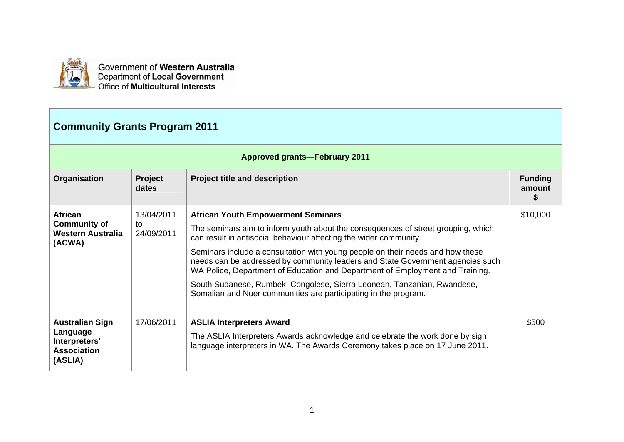

Government of Western Australia<br>Department of Local Government Office of Multicultural Interests

## **Community Grants Program 2011**

|                                                                                      |                  | <b>Approved grants-February 2011</b>                                                                                                                                                                                                              |                          |
|--------------------------------------------------------------------------------------|------------------|---------------------------------------------------------------------------------------------------------------------------------------------------------------------------------------------------------------------------------------------------|--------------------------|
| Organisation                                                                         | Project<br>dates | <b>Project title and description</b>                                                                                                                                                                                                              | <b>Funding</b><br>amount |
| <b>African</b>                                                                       | 13/04/2011       | <b>African Youth Empowerment Seminars</b>                                                                                                                                                                                                         | \$10,000                 |
| <b>Community of</b><br>Western Australia<br>(ACWA)                                   | to<br>24/09/2011 | The seminars aim to inform youth about the consequences of street grouping, which<br>can result in antisocial behaviour affecting the wider community.                                                                                            |                          |
|                                                                                      |                  | Seminars include a consultation with young people on their needs and how these<br>needs can be addressed by community leaders and State Government agencies such<br>WA Police, Department of Education and Department of Employment and Training. |                          |
|                                                                                      |                  | South Sudanese, Rumbek, Congolese, Sierra Leonean, Tanzanian, Rwandese,<br>Somalian and Nuer communities are participating in the program.                                                                                                        |                          |
| <b>Australian Sign</b><br>Language<br>Interpreters'<br><b>Association</b><br>(ASLIA) | 17/06/2011       | <b>ASLIA Interpreters Award</b><br>The ASLIA Interpreters Awards acknowledge and celebrate the work done by sign<br>language interpreters in WA. The Awards Ceremony takes place on 17 June 2011.                                                 | \$500                    |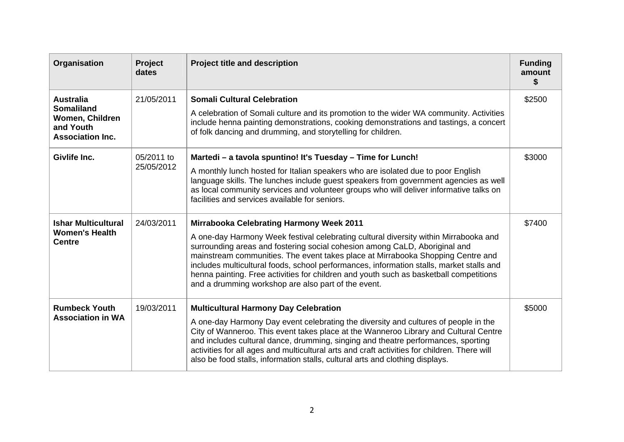| Organisation                                                                                     | Project<br>dates         | <b>Project title and description</b>                                                                                                                                                                                                                                                                                                                                                                                                                                                                                                                  | <b>Funding</b><br>amount<br>S. |
|--------------------------------------------------------------------------------------------------|--------------------------|-------------------------------------------------------------------------------------------------------------------------------------------------------------------------------------------------------------------------------------------------------------------------------------------------------------------------------------------------------------------------------------------------------------------------------------------------------------------------------------------------------------------------------------------------------|--------------------------------|
| <b>Australia</b><br><b>Somaliland</b><br>Women, Children<br>and Youth<br><b>Association Inc.</b> | 21/05/2011               | <b>Somali Cultural Celebration</b><br>A celebration of Somali culture and its promotion to the wider WA community. Activities<br>include henna painting demonstrations, cooking demonstrations and tastings, a concert<br>of folk dancing and drumming, and storytelling for children.                                                                                                                                                                                                                                                                | \$2500                         |
| Givlife Inc.                                                                                     | 05/2011 to<br>25/05/2012 | Martedi - a tavola spuntino! It's Tuesday - Time for Lunch!<br>A monthly lunch hosted for Italian speakers who are isolated due to poor English<br>language skills. The lunches include guest speakers from government agencies as well<br>as local community services and volunteer groups who will deliver informative talks on<br>facilities and services available for seniors.                                                                                                                                                                   | \$3000                         |
| <b>Ishar Multicultural</b><br><b>Women's Health</b><br><b>Centre</b>                             | 24/03/2011               | <b>Mirrabooka Celebrating Harmony Week 2011</b><br>A one-day Harmony Week festival celebrating cultural diversity within Mirrabooka and<br>surrounding areas and fostering social cohesion among CaLD, Aboriginal and<br>mainstream communities. The event takes place at Mirrabooka Shopping Centre and<br>includes multicultural foods, school performances, information stalls, market stalls and<br>henna painting. Free activities for children and youth such as basketball competitions<br>and a drumming workshop are also part of the event. | \$7400                         |
| <b>Rumbeck Youth</b><br><b>Association in WA</b>                                                 | 19/03/2011               | <b>Multicultural Harmony Day Celebration</b><br>A one-day Harmony Day event celebrating the diversity and cultures of people in the<br>City of Wanneroo. This event takes place at the Wanneroo Library and Cultural Centre<br>and includes cultural dance, drumming, singing and theatre performances, sporting<br>activities for all ages and multicultural arts and craft activities for children. There will<br>also be food stalls, information stalls, cultural arts and clothing displays.                                                     | \$5000                         |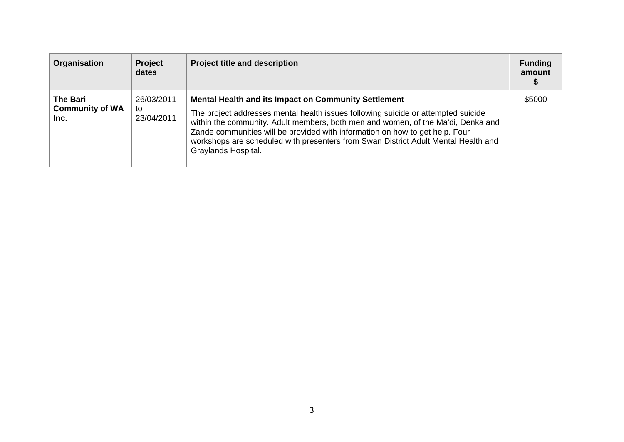| Organisation                                      | <b>Project</b><br>dates        | <b>Project title and description</b>                                                                                                                                                                                                                                                                                                                                                                                              | <b>Funding</b><br>amount |
|---------------------------------------------------|--------------------------------|-----------------------------------------------------------------------------------------------------------------------------------------------------------------------------------------------------------------------------------------------------------------------------------------------------------------------------------------------------------------------------------------------------------------------------------|--------------------------|
| <b>The Bari</b><br><b>Community of WA</b><br>Inc. | 26/03/2011<br>to<br>23/04/2011 | <b>Mental Health and its Impact on Community Settlement</b><br>The project addresses mental health issues following suicide or attempted suicide<br>within the community. Adult members, both men and women, of the Ma'di, Denka and<br>Zande communities will be provided with information on how to get help. Four<br>workshops are scheduled with presenters from Swan District Adult Mental Health and<br>Graylands Hospital. | \$5000                   |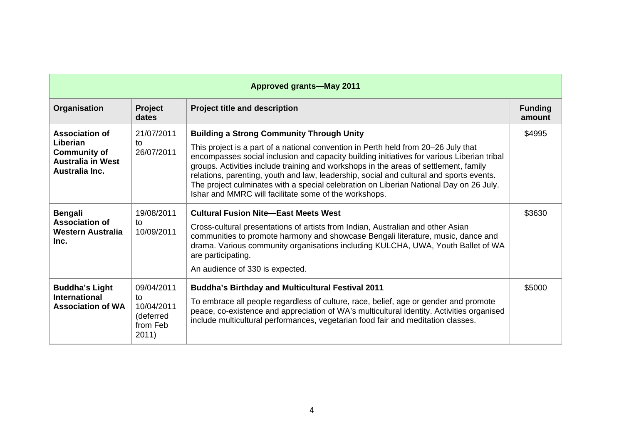|                                                                                                        |                                                                  | <b>Approved grants-May 2011</b>                                                                                                                                                                                                                                                                                                                                                                                                                                                                                                                                            |                          |
|--------------------------------------------------------------------------------------------------------|------------------------------------------------------------------|----------------------------------------------------------------------------------------------------------------------------------------------------------------------------------------------------------------------------------------------------------------------------------------------------------------------------------------------------------------------------------------------------------------------------------------------------------------------------------------------------------------------------------------------------------------------------|--------------------------|
| Organisation                                                                                           | Project<br>dates                                                 | <b>Project title and description</b>                                                                                                                                                                                                                                                                                                                                                                                                                                                                                                                                       | <b>Funding</b><br>amount |
| <b>Association of</b><br>Liberian<br><b>Community of</b><br><b>Australia in West</b><br>Australia Inc. | 21/07/2011<br>$\mathsf{t}$<br>26/07/2011                         | <b>Building a Strong Community Through Unity</b><br>This project is a part of a national convention in Perth held from 20–26 July that<br>encompasses social inclusion and capacity building initiatives for various Liberian tribal<br>groups. Activities include training and workshops in the areas of settlement, family<br>relations, parenting, youth and law, leadership, social and cultural and sports events.<br>The project culminates with a special celebration on Liberian National Day on 26 July.<br>Ishar and MMRC will facilitate some of the workshops. | \$4995                   |
| <b>Bengali</b><br><b>Association of</b><br><b>Western Australia</b><br>Inc.                            | 19/08/2011<br>to<br>10/09/2011                                   | <b>Cultural Fusion Nite-East Meets West</b><br>Cross-cultural presentations of artists from Indian, Australian and other Asian<br>communities to promote harmony and showcase Bengali literature, music, dance and<br>drama. Various community organisations including KULCHA, UWA, Youth Ballet of WA<br>are participating.<br>An audience of 330 is expected.                                                                                                                                                                                                            | \$3630                   |
| <b>Buddha's Light</b><br><b>International</b><br><b>Association of WA</b>                              | 09/04/2011<br>to<br>10/04/2011<br>(deferred<br>from Feb<br>2011) | <b>Buddha's Birthday and Multicultural Festival 2011</b><br>To embrace all people regardless of culture, race, belief, age or gender and promote<br>peace, co-existence and appreciation of WA's multicultural identity. Activities organised<br>include multicultural performances, vegetarian food fair and meditation classes.                                                                                                                                                                                                                                          | \$5000                   |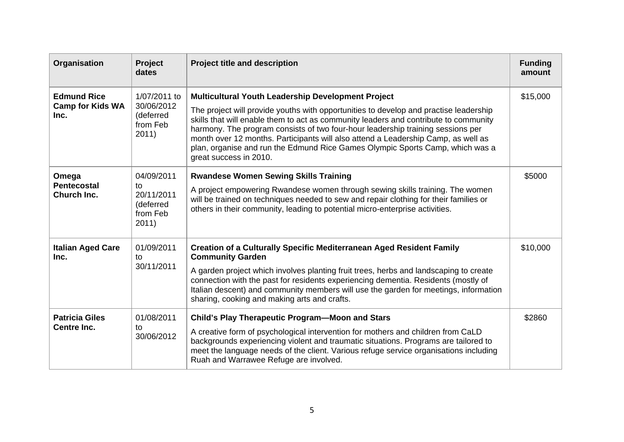| Organisation                                          | Project<br>dates                                                 | <b>Project title and description</b>                                                                                                                                                                                                                                                                                                                                                                                                                                                                                   | <b>Funding</b><br>amount |
|-------------------------------------------------------|------------------------------------------------------------------|------------------------------------------------------------------------------------------------------------------------------------------------------------------------------------------------------------------------------------------------------------------------------------------------------------------------------------------------------------------------------------------------------------------------------------------------------------------------------------------------------------------------|--------------------------|
| <b>Edmund Rice</b><br><b>Camp for Kids WA</b><br>Inc. | 1/07/2011 to<br>30/06/2012<br>(deferred<br>from Feb<br>2011)     | Multicultural Youth Leadership Development Project<br>The project will provide youths with opportunities to develop and practise leadership<br>skills that will enable them to act as community leaders and contribute to community<br>harmony. The program consists of two four-hour leadership training sessions per<br>month over 12 months. Participants will also attend a Leadership Camp, as well as<br>plan, organise and run the Edmund Rice Games Olympic Sports Camp, which was a<br>great success in 2010. | \$15,000                 |
| Omega<br><b>Pentecostal</b><br>Church Inc.            | 04/09/2011<br>to<br>20/11/2011<br>(deferred<br>from Feb<br>2011) | <b>Rwandese Women Sewing Skills Training</b><br>A project empowering Rwandese women through sewing skills training. The women<br>will be trained on techniques needed to sew and repair clothing for their families or<br>others in their community, leading to potential micro-enterprise activities.                                                                                                                                                                                                                 | \$5000                   |
| <b>Italian Aged Care</b><br>Inc.                      | 01/09/2011<br>to<br>30/11/2011                                   | <b>Creation of a Culturally Specific Mediterranean Aged Resident Family</b><br><b>Community Garden</b><br>A garden project which involves planting fruit trees, herbs and landscaping to create<br>connection with the past for residents experiencing dementia. Residents (mostly of<br>Italian descent) and community members will use the garden for meetings, information<br>sharing, cooking and making arts and crafts.                                                                                          | \$10,000                 |
| <b>Patricia Giles</b><br><b>Centre Inc.</b>           | 01/08/2011<br>to<br>30/06/2012                                   | <b>Child's Play Therapeutic Program-Moon and Stars</b><br>A creative form of psychological intervention for mothers and children from CaLD<br>backgrounds experiencing violent and traumatic situations. Programs are tailored to<br>meet the language needs of the client. Various refuge service organisations including<br>Ruah and Warrawee Refuge are involved.                                                                                                                                                   | \$2860                   |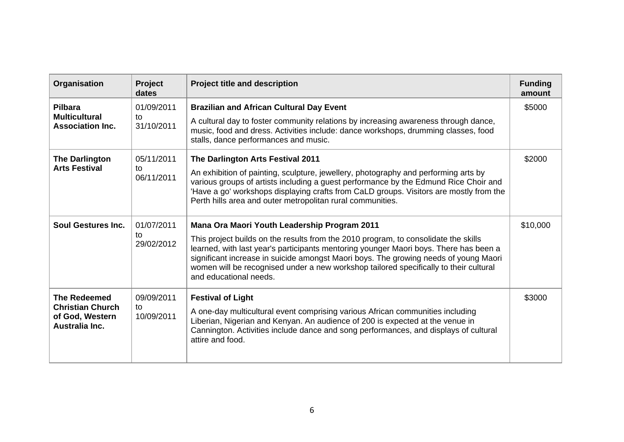| Organisation                                                                        | Project<br>dates               | <b>Project title and description</b>                                                                                                                                                                                                                                                                                                                                                                                                           | <b>Funding</b><br>amount |
|-------------------------------------------------------------------------------------|--------------------------------|------------------------------------------------------------------------------------------------------------------------------------------------------------------------------------------------------------------------------------------------------------------------------------------------------------------------------------------------------------------------------------------------------------------------------------------------|--------------------------|
| Pilbara<br><b>Multicultural</b><br><b>Association Inc.</b>                          | 01/09/2011<br>to<br>31/10/2011 | <b>Brazilian and African Cultural Day Event</b><br>A cultural day to foster community relations by increasing awareness through dance,<br>music, food and dress. Activities include: dance workshops, drumming classes, food<br>stalls, dance performances and music.                                                                                                                                                                          | \$5000                   |
| <b>The Darlington</b><br><b>Arts Festival</b>                                       | 05/11/2011<br>to<br>06/11/2011 | The Darlington Arts Festival 2011<br>An exhibition of painting, sculpture, jewellery, photography and performing arts by<br>various groups of artists including a guest performance by the Edmund Rice Choir and<br>'Have a go' workshops displaying crafts from CaLD groups. Visitors are mostly from the<br>Perth hills area and outer metropolitan rural communities.                                                                       | \$2000                   |
| <b>Soul Gestures Inc.</b>                                                           | 01/07/2011<br>to<br>29/02/2012 | <b>Mana Ora Maori Youth Leadership Program 2011</b><br>This project builds on the results from the 2010 program, to consolidate the skills<br>learned, with last year's participants mentoring younger Maori boys. There has been a<br>significant increase in suicide amongst Maori boys. The growing needs of young Maori<br>women will be recognised under a new workshop tailored specifically to their cultural<br>and educational needs. | \$10,000                 |
| <b>The Redeemed</b><br><b>Christian Church</b><br>of God, Western<br>Australia Inc. | 09/09/2011<br>to<br>10/09/2011 | <b>Festival of Light</b><br>A one-day multicultural event comprising various African communities including<br>Liberian, Nigerian and Kenyan. An audience of 200 is expected at the venue in<br>Cannington. Activities include dance and song performances, and displays of cultural<br>attire and food.                                                                                                                                        | \$3000                   |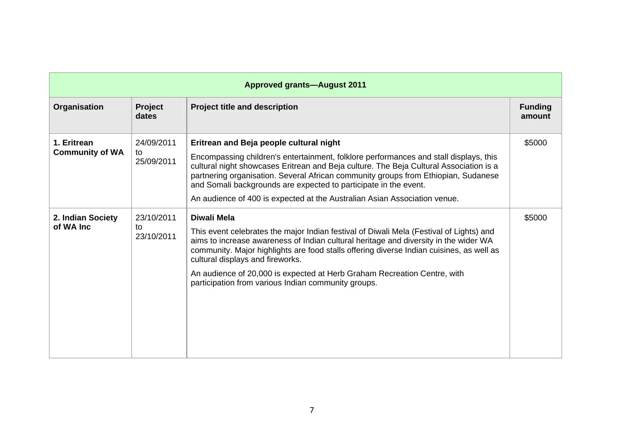|                                       |                                | <b>Approved grants-August 2011</b>                                                                                                                                                                                                                                                                                                                                                                                                                                |                          |
|---------------------------------------|--------------------------------|-------------------------------------------------------------------------------------------------------------------------------------------------------------------------------------------------------------------------------------------------------------------------------------------------------------------------------------------------------------------------------------------------------------------------------------------------------------------|--------------------------|
| Organisation                          | <b>Project</b><br>dates        | <b>Project title and description</b>                                                                                                                                                                                                                                                                                                                                                                                                                              | <b>Funding</b><br>amount |
| 1. Eritrean<br><b>Community of WA</b> | 24/09/2011<br>to<br>25/09/2011 | Eritrean and Beja people cultural night<br>Encompassing children's entertainment, folklore performances and stall displays, this<br>cultural night showcases Eritrean and Beja culture. The Beja Cultural Association is a<br>partnering organisation. Several African community groups from Ethiopian, Sudanese<br>and Somali backgrounds are expected to participate in the event.<br>An audience of 400 is expected at the Australian Asian Association venue. | \$5000                   |
| 2. Indian Society<br>of WA Inc        | 23/10/2011<br>to<br>23/10/2011 | Diwali Mela<br>This event celebrates the major Indian festival of Diwali Mela (Festival of Lights) and<br>aims to increase awareness of Indian cultural heritage and diversity in the wider WA<br>community. Major highlights are food stalls offering diverse Indian cuisines, as well as<br>cultural displays and fireworks.<br>An audience of 20,000 is expected at Herb Graham Recreation Centre, with<br>participation from various Indian community groups. | \$5000                   |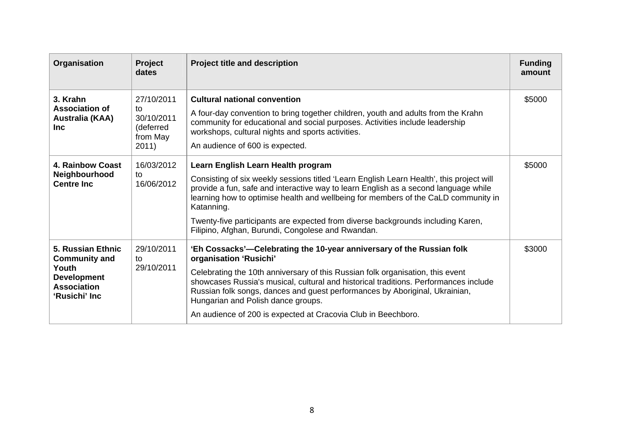| Organisation                                                                                                    | Project<br>dates                                                 | <b>Project title and description</b>                                                                                                                                                                                                                                                                                                                                                                                                                              | <b>Funding</b><br>amount |
|-----------------------------------------------------------------------------------------------------------------|------------------------------------------------------------------|-------------------------------------------------------------------------------------------------------------------------------------------------------------------------------------------------------------------------------------------------------------------------------------------------------------------------------------------------------------------------------------------------------------------------------------------------------------------|--------------------------|
| 3. Krahn<br><b>Association of</b><br>Australia (KAA)<br><b>Inc</b>                                              | 27/10/2011<br>to<br>30/10/2011<br>(deferred<br>from May<br>2011) | <b>Cultural national convention</b><br>A four-day convention to bring together children, youth and adults from the Krahn<br>community for educational and social purposes. Activities include leadership<br>workshops, cultural nights and sports activities.<br>An audience of 600 is expected.                                                                                                                                                                  | \$5000                   |
| <b>4. Rainbow Coast</b><br>Neighbourhood<br><b>Centre Inc.</b>                                                  | 16/03/2012<br>to<br>16/06/2012                                   | Learn English Learn Health program<br>Consisting of six weekly sessions titled 'Learn English Learn Health', this project will<br>provide a fun, safe and interactive way to learn English as a second language while<br>learning how to optimise health and wellbeing for members of the CaLD community in<br>Katanning.<br>Twenty-five participants are expected from diverse backgrounds including Karen,<br>Filipino, Afghan, Burundi, Congolese and Rwandan. | \$5000                   |
| 5. Russian Ethnic<br><b>Community and</b><br>Youth<br><b>Development</b><br><b>Association</b><br>'Rusichi' Inc | 29/10/2011<br>to<br>29/10/2011                                   | 'Eh Cossacks'-Celebrating the 10-year anniversary of the Russian folk<br>organisation 'Rusichi'<br>Celebrating the 10th anniversary of this Russian folk organisation, this event<br>showcases Russia's musical, cultural and historical traditions. Performances include<br>Russian folk songs, dances and guest performances by Aboriginal, Ukrainian,<br>Hungarian and Polish dance groups.<br>An audience of 200 is expected at Cracovia Club in Beechboro.   | \$3000                   |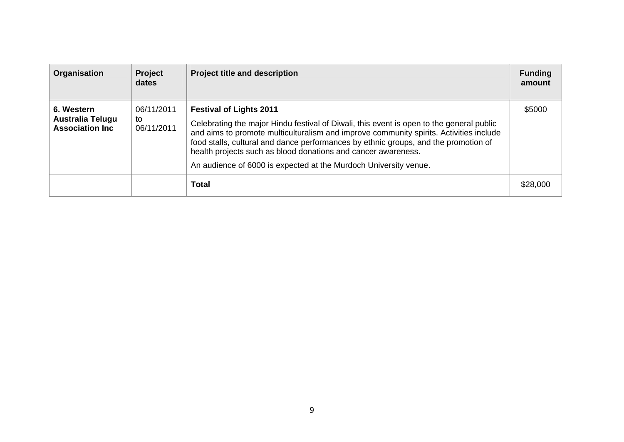| Organisation                                                     | Project<br>dates               | <b>Project title and description</b>                                                                                                                                                                                                                                                                                                                                                                                                             | <b>Funding</b><br>amount |
|------------------------------------------------------------------|--------------------------------|--------------------------------------------------------------------------------------------------------------------------------------------------------------------------------------------------------------------------------------------------------------------------------------------------------------------------------------------------------------------------------------------------------------------------------------------------|--------------------------|
| 6. Western<br><b>Australia Telugu</b><br><b>Association Inc.</b> | 06/11/2011<br>to<br>06/11/2011 | <b>Festival of Lights 2011</b><br>Celebrating the major Hindu festival of Diwali, this event is open to the general public<br>and aims to promote multiculturalism and improve community spirits. Activities include<br>food stalls, cultural and dance performances by ethnic groups, and the promotion of<br>health projects such as blood donations and cancer awareness.<br>An audience of 6000 is expected at the Murdoch University venue. | \$5000                   |
|                                                                  |                                | <b>Total</b>                                                                                                                                                                                                                                                                                                                                                                                                                                     | \$28,000                 |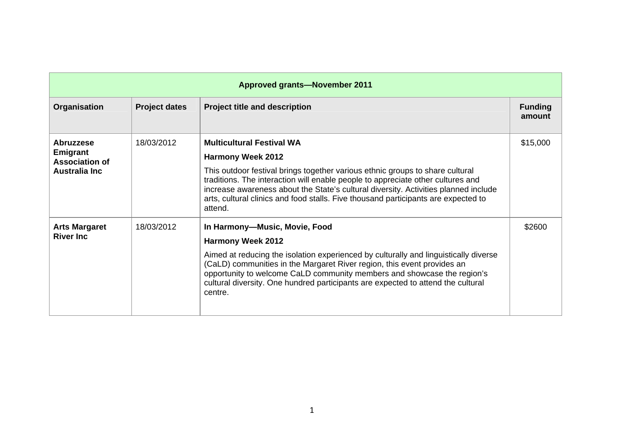|                                                                                |                      | <b>Approved grants-November 2011</b>                                                                                                                                                                                                                                                                                                                                                                                     |                          |
|--------------------------------------------------------------------------------|----------------------|--------------------------------------------------------------------------------------------------------------------------------------------------------------------------------------------------------------------------------------------------------------------------------------------------------------------------------------------------------------------------------------------------------------------------|--------------------------|
| Organisation                                                                   | <b>Project dates</b> | <b>Project title and description</b>                                                                                                                                                                                                                                                                                                                                                                                     | <b>Funding</b><br>amount |
| <b>Abruzzese</b><br>Emigrant<br><b>Association of</b><br><b>Australia Inc.</b> | 18/03/2012           | <b>Multicultural Festival WA</b><br><b>Harmony Week 2012</b><br>This outdoor festival brings together various ethnic groups to share cultural<br>traditions. The interaction will enable people to appreciate other cultures and<br>increase awareness about the State's cultural diversity. Activities planned include<br>arts, cultural clinics and food stalls. Five thousand participants are expected to<br>attend. | \$15,000                 |
| <b>Arts Margaret</b><br><b>River Inc.</b>                                      | 18/03/2012           | In Harmony-Music, Movie, Food<br><b>Harmony Week 2012</b><br>Aimed at reducing the isolation experienced by culturally and linguistically diverse<br>(CaLD) communities in the Margaret River region, this event provides an<br>opportunity to welcome CaLD community members and showcase the region's<br>cultural diversity. One hundred participants are expected to attend the cultural<br>centre.                   | \$2600                   |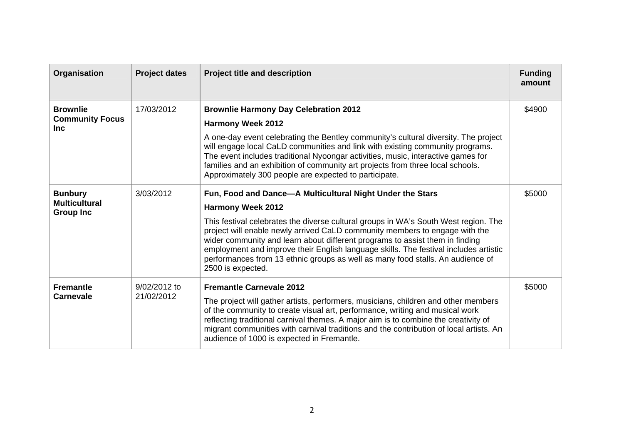| Organisation                                               | <b>Project dates</b>       | <b>Project title and description</b>                                                                                                                                                                                                                                                                                                                                                                                                                                                                                                       | <b>Funding</b><br>amount |
|------------------------------------------------------------|----------------------------|--------------------------------------------------------------------------------------------------------------------------------------------------------------------------------------------------------------------------------------------------------------------------------------------------------------------------------------------------------------------------------------------------------------------------------------------------------------------------------------------------------------------------------------------|--------------------------|
| <b>Brownlie</b><br><b>Community Focus</b><br><b>Inc</b>    | 17/03/2012                 | <b>Brownlie Harmony Day Celebration 2012</b><br><b>Harmony Week 2012</b><br>A one-day event celebrating the Bentley community's cultural diversity. The project<br>will engage local CaLD communities and link with existing community programs.<br>The event includes traditional Nyoongar activities, music, interactive games for<br>families and an exhibition of community art projects from three local schools.<br>Approximately 300 people are expected to participate.                                                            | \$4900                   |
| <b>Bunbury</b><br><b>Multicultural</b><br><b>Group Inc</b> | 3/03/2012                  | Fun, Food and Dance-A Multicultural Night Under the Stars<br><b>Harmony Week 2012</b><br>This festival celebrates the diverse cultural groups in WA's South West region. The<br>project will enable newly arrived CaLD community members to engage with the<br>wider community and learn about different programs to assist them in finding<br>employment and improve their English language skills. The festival includes artistic<br>performances from 13 ethnic groups as well as many food stalls. An audience of<br>2500 is expected. | \$5000                   |
| <b>Fremantle</b><br><b>Carnevale</b>                       | 9/02/2012 to<br>21/02/2012 | <b>Fremantle Carnevale 2012</b><br>The project will gather artists, performers, musicians, children and other members<br>of the community to create visual art, performance, writing and musical work<br>reflecting traditional carnival themes. A major aim is to combine the creativity of<br>migrant communities with carnival traditions and the contribution of local artists. An<br>audience of 1000 is expected in Fremantle.                                                                                                       | \$5000                   |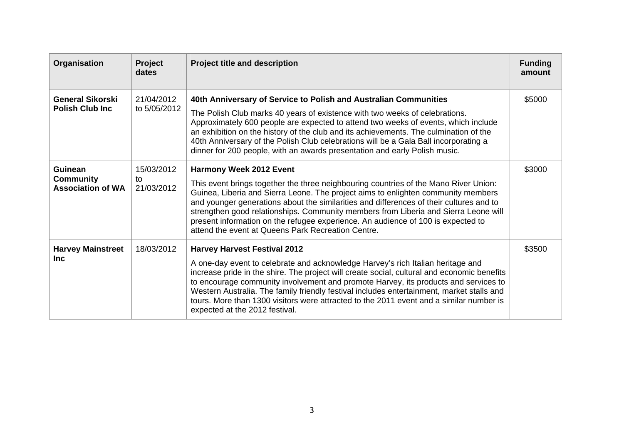| Organisation                                            | Project<br>dates               | <b>Project title and description</b>                                                                                                                                                                                                                                                                                                                                                                                                                                                                                                    | <b>Funding</b><br>amount |
|---------------------------------------------------------|--------------------------------|-----------------------------------------------------------------------------------------------------------------------------------------------------------------------------------------------------------------------------------------------------------------------------------------------------------------------------------------------------------------------------------------------------------------------------------------------------------------------------------------------------------------------------------------|--------------------------|
| <b>General Sikorski</b><br><b>Polish Club Inc.</b>      | 21/04/2012<br>to 5/05/2012     | 40th Anniversary of Service to Polish and Australian Communities<br>The Polish Club marks 40 years of existence with two weeks of celebrations.<br>Approximately 600 people are expected to attend two weeks of events, which include<br>an exhibition on the history of the club and its achievements. The culmination of the<br>40th Anniversary of the Polish Club celebrations will be a Gala Ball incorporating a<br>dinner for 200 people, with an awards presentation and early Polish music.                                    | \$5000                   |
| Guinean<br><b>Community</b><br><b>Association of WA</b> | 15/03/2012<br>to<br>21/03/2012 | <b>Harmony Week 2012 Event</b><br>This event brings together the three neighbouring countries of the Mano River Union:<br>Guinea, Liberia and Sierra Leone. The project aims to enlighten community members<br>and younger generations about the similarities and differences of their cultures and to<br>strengthen good relationships. Community members from Liberia and Sierra Leone will<br>present information on the refugee experience. An audience of 100 is expected to<br>attend the event at Queens Park Recreation Centre. | \$3000                   |
| <b>Harvey Mainstreet</b><br><b>Inc</b>                  | 18/03/2012                     | <b>Harvey Harvest Festival 2012</b><br>A one-day event to celebrate and acknowledge Harvey's rich Italian heritage and<br>increase pride in the shire. The project will create social, cultural and economic benefits<br>to encourage community involvement and promote Harvey, its products and services to<br>Western Australia. The family friendly festival includes entertainment, market stalls and<br>tours. More than 1300 visitors were attracted to the 2011 event and a similar number is<br>expected at the 2012 festival.  | \$3500                   |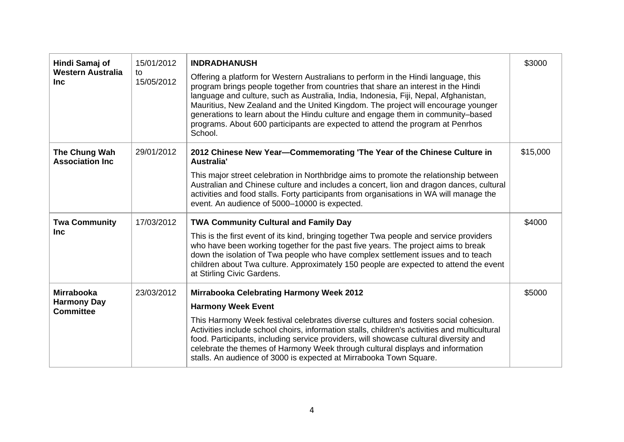| Hindi Samaj of<br><b>Western Australia</b><br><b>Inc</b>    | 15/01/2012<br>to<br>15/05/2012 | <b>INDRADHANUSH</b><br>Offering a platform for Western Australians to perform in the Hindi language, this<br>program brings people together from countries that share an interest in the Hindi<br>language and culture, such as Australia, India, Indonesia, Fiji, Nepal, Afghanistan,<br>Mauritius, New Zealand and the United Kingdom. The project will encourage younger<br>generations to learn about the Hindu culture and engage them in community-based<br>programs. About 600 participants are expected to attend the program at Penrhos<br>School. | \$3000   |
|-------------------------------------------------------------|--------------------------------|-------------------------------------------------------------------------------------------------------------------------------------------------------------------------------------------------------------------------------------------------------------------------------------------------------------------------------------------------------------------------------------------------------------------------------------------------------------------------------------------------------------------------------------------------------------|----------|
| The Chung Wah<br><b>Association Inc</b>                     | 29/01/2012                     | 2012 Chinese New Year-Commemorating 'The Year of the Chinese Culture in<br>Australia'<br>This major street celebration in Northbridge aims to promote the relationship between<br>Australian and Chinese culture and includes a concert, lion and dragon dances, cultural<br>activities and food stalls. Forty participants from organisations in WA will manage the<br>event. An audience of 5000-10000 is expected.                                                                                                                                       | \$15,000 |
| <b>Twa Community</b><br><b>Inc</b>                          | 17/03/2012                     | <b>TWA Community Cultural and Family Day</b><br>This is the first event of its kind, bringing together Twa people and service providers<br>who have been working together for the past five years. The project aims to break<br>down the isolation of Twa people who have complex settlement issues and to teach<br>children about Twa culture. Approximately 150 people are expected to attend the event<br>at Stirling Civic Gardens.                                                                                                                     | \$4000   |
| <b>Mirrabooka</b><br><b>Harmony Day</b><br><b>Committee</b> | 23/03/2012                     | <b>Mirrabooka Celebrating Harmony Week 2012</b><br><b>Harmony Week Event</b><br>This Harmony Week festival celebrates diverse cultures and fosters social cohesion.<br>Activities include school choirs, information stalls, children's activities and multicultural<br>food. Participants, including service providers, will showcase cultural diversity and<br>celebrate the themes of Harmony Week through cultural displays and information<br>stalls. An audience of 3000 is expected at Mirrabooka Town Square.                                       | \$5000   |